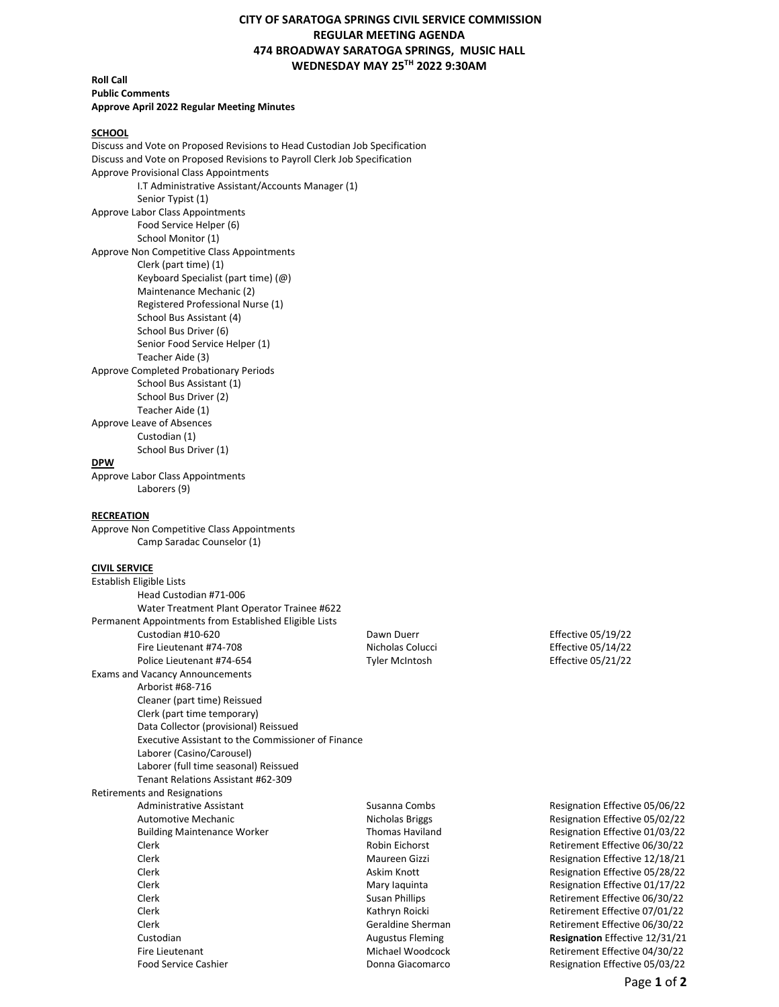# **CITY OF SARATOGA SPRINGS CIVIL SERVICE COMMISSION REGULAR MEETING AGENDA 474 BROADWAY SARATOGA SPRINGS, MUSIC HALL WEDNESDAY MAY 25TH 2022 9:30AM**

## **Roll Call Public Comments Approve April 2022 Regular Meeting Minutes**

### **SCHOOL**

Discuss and Vote on Proposed Revisions to Head Custodian Job Specification Discuss and Vote on Proposed Revisions to Payroll Clerk Job Specification Approve Provisional Class Appointments I.T Administrative Assistant/Accounts Manager (1) Senior Typist (1) Approve Labor Class Appointments Food Service Helper (6) School Monitor (1) Approve Non Competitive Class Appointments Clerk (part time) (1) Keyboard Specialist (part time) (@) Maintenance Mechanic (2) Registered Professional Nurse (1) School Bus Assistant (4) School Bus Driver (6) Senior Food Service Helper (1) Teacher Aide (3) Approve Completed Probationary Periods School Bus Assistant (1) School Bus Driver (2) Teacher Aide (1) Approve Leave of Absences Custodian (1) School Bus Driver (1) **DPW** Approve Labor Class Appointments

Laborers (9)

#### **RECREATION**

Approve Non Competitive Class Appointments Camp Saradac Counselor (1)

### **CIVIL SERVICE**

| Establish Eligible Lists |                                                        |       |
|--------------------------|--------------------------------------------------------|-------|
|                          | Head Custodian #71-006                                 |       |
|                          | Water Treatment Plant Operator Trainee #622            |       |
|                          | Permanent Appointments from Established Eligible Lists |       |
|                          | Custodian #10-620                                      | Daw   |
|                          | Fire Lieutenant #74-708                                | Nich  |
|                          | Police Lieutenant #74-654                              | Tyler |
|                          | <b>Exams and Vacancy Announcements</b>                 |       |
|                          | Arborist #68-716                                       |       |
|                          | Cleaner (part time) Reissued                           |       |
|                          | Clerk (part time temporary)                            |       |
|                          | Data Collector (provisional) Reissued                  |       |
|                          | Executive Assistant to the Commissioner of Finance     |       |
|                          | Laborer (Casino/Carousel)                              |       |
|                          | Laborer (full time seasonal) Reissued                  |       |
|                          | Tenant Relations Assistant #62-309                     |       |
|                          | <b>Retirements and Resignations</b>                    |       |
|                          | <b>Administrative Assistant</b>                        | Susa  |
|                          | Automotive Mechanic                                    | Nich  |
|                          | <b>Building Maintenance Worker</b>                     | Thor  |
|                          | Clerk                                                  | Robi  |
|                          | Clerk                                                  | Mau   |
|                          | Clerk                                                  | Askiı |
|                          | Clerk                                                  | Mar   |
|                          | Clerk                                                  | Susa  |
|                          | Clerk                                                  | Kath  |
|                          | Clerk                                                  | Gera  |
|                          | Custodian                                              | Augu  |
|                          | Fire Lieutenant                                        | Mich  |
|                          |                                                        |       |

 $\mu$ n Duerr Effective 05/19/22 rolas Colucci **Effective 05/14/22** r McIntosh **Effective 05/21/22** 

anna Combs **Resignation Effective 05/06/22** Automotive Mechanic Nicholas Briggs Resignation Effective 05/02/22 mas Haviland Maintenance Mesignation Effective 01/03/22 in Eichorst **Clerk Retirement Effective 06/30/22** Ireen Gizzi **Clerk Maureen City Clerk Maureen City** Resignation Effective 12/18/21 m Knott **Clerk Askim Clerk Askim Resignation Effective 05/28/22** y laquinta **Clerk Mary Inc.** Resignation Effective 01/17/22 an Phillips **Election Susan Phillips** Retirement Effective 06/30/22 Iryn Roicki **Clerk Clerk Kathryn Retirement Effective 07/01/22**<br>Retirement Effective 06/30/22 Retirement Effective 06/30/22 Custodian Augustus Fleming **Resignation** Effective 12/31/21 Retirement Effective 04/30/22 Food Service Cashier Donna Giacomarco Resignation Effective 05/03/22